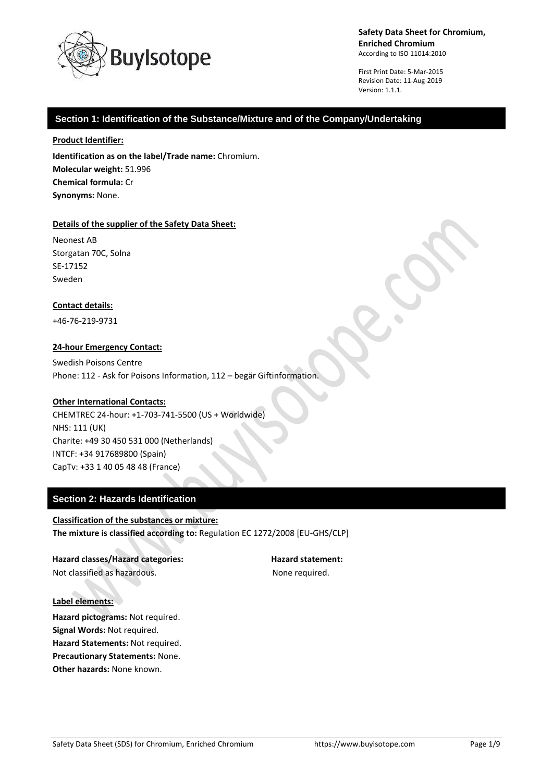

First Print Date: 5-Mar-2015 Revision Date: 11-Aug-2019 Version: 1.1.1.

# **Section 1: Identification of the Substance/Mixture and of the Company/Undertaking**

#### **Product Identifier:**

**Identification as on the label/Trade name:** Chromium. **Molecular weight:** 51.996 **Chemical formula:** Cr **Synonyms:** None.

#### **Details of the supplier of the Safety Data Sheet:**

Neonest AB Storgatan 70C, Solna SE-17152 Sweden

## **Contact details:**

+46-76-219-9731

## **24-hour Emergency Contact:**

Swedish Poisons Centre Phone: 112 - Ask for Poisons Information, 112 – begär Giftinformation.

## **Other International Contacts:**

CHEMTREC 24-hour: +1-703-741-5500 (US + Worldwide) NHS: 111 (UK) Charite: +49 30 450 531 000 (Netherlands) INTCF: +34 917689800 (Spain) CapTv: +33 1 40 05 48 48 (France)

# **Section 2: Hazards Identification**

**Classification of the substances or mixture: The mixture is classified according to:** Regulation EC 1272/2008 [EU-GHS/CLP]

**Hazard classes/Hazard categories: Hazard statement:** Not classified as hazardous. The state of the None required.

#### **Label elements:**

**Hazard pictograms:** Not required. **Signal Words:** Not required. **Hazard Statements:** Not required. **Precautionary Statements:** None. **Other hazards:** None known.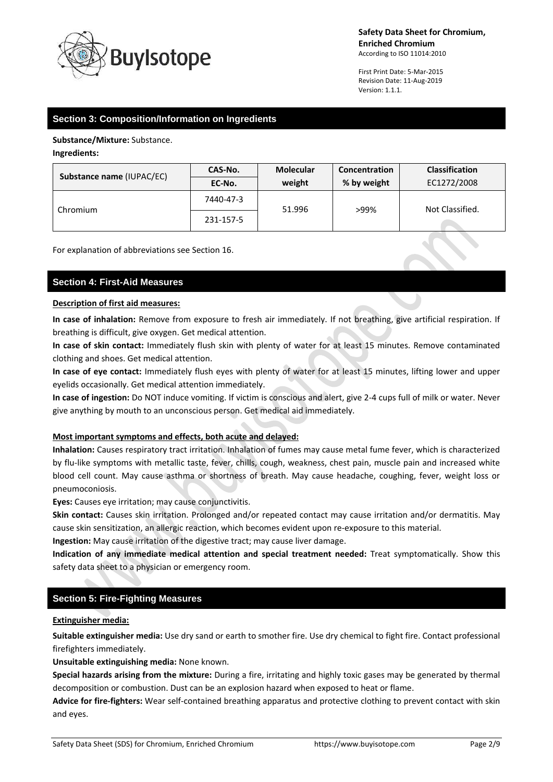

First Print Date: 5-Mar-2015 Revision Date: 11-Aug-2019 Version: 1.1.1.

# **Section 3: Composition/Information on Ingredients**

**Substance/Mixture:** Substance.

## **Ingredients:**

| <b>Substance name (IUPAC/EC)</b> | CAS-No.   | <b>Molecular</b> | Concentration | <b>Classification</b> |
|----------------------------------|-----------|------------------|---------------|-----------------------|
|                                  | EC-No.    | weight           | % by weight   | EC1272/2008           |
| Chromium                         | 7440-47-3 | 51.996           | >99%          | Not Classified.       |
|                                  | 231-157-5 |                  |               |                       |

For explanation of abbreviations see Section 16.

# **Section 4: First-Aid Measures**

# **Description of first aid measures:**

**In case of inhalation:** Remove from exposure to fresh air immediately. If not breathing, give artificial respiration. If breathing is difficult, give oxygen. Get medical attention.

**In case of skin contact:** Immediately flush skin with plenty of water for at least 15 minutes. Remove contaminated clothing and shoes. Get medical attention.

**In case of eye contact:** Immediately flush eyes with plenty of water for at least 15 minutes, lifting lower and upper eyelids occasionally. Get medical attention immediately.

**In case of ingestion:** Do NOT induce vomiting. If victim is conscious and alert, give 2-4 cups full of milk or water. Never give anything by mouth to an unconscious person. Get medical aid immediately.

## **Most important symptoms and effects, both acute and delayed:**

**Inhalation:** Causes respiratory tract irritation. Inhalation of fumes may cause metal fume fever, which is characterized by flu-like symptoms with metallic taste, fever, chills, cough, weakness, chest pain, muscle pain and increased white blood cell count. May cause asthma or shortness of breath. May cause headache, coughing, fever, weight loss or pneumoconiosis.

**Eyes:** Causes eye irritation; may cause conjunctivitis.

**Skin contact:** Causes skin irritation. Prolonged and/or repeated contact may cause irritation and/or dermatitis. May cause skin sensitization, an allergic reaction, which becomes evident upon re-exposure to this material.

**Ingestion:** May cause irritation of the digestive tract; may cause liver damage.

**Indication of any immediate medical attention and special treatment needed:** Treat symptomatically. Show this safety data sheet to a physician or emergency room.

# **Section 5: Fire-Fighting Measures**

## **Extinguisher media:**

**Suitable extinguisher media:** Use dry sand or earth to smother fire. Use dry chemical to fight fire. Contact professional firefighters immediately.

**Unsuitable extinguishing media:** None known.

**Special hazards arising from the mixture:** During a fire, irritating and highly toxic gases may be generated by thermal decomposition or combustion. Dust can be an explosion hazard when exposed to heat or flame.

**Advice for fire-fighters:** Wear self-contained breathing apparatus and protective clothing to prevent contact with skin and eyes.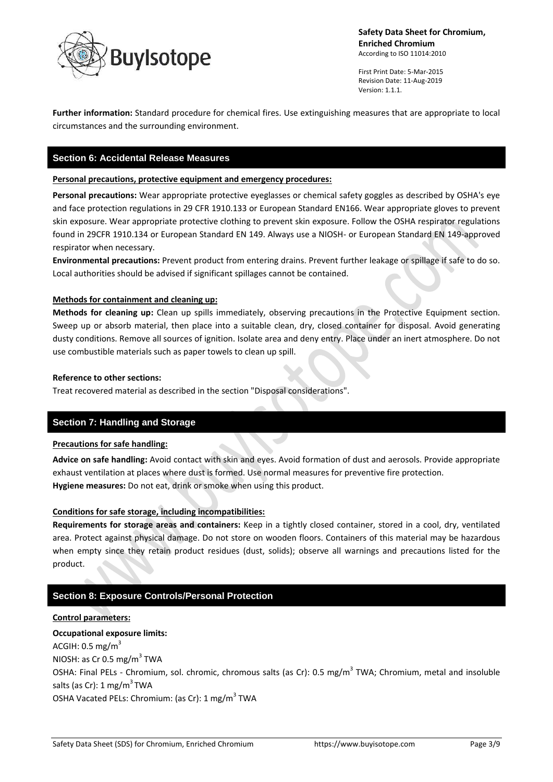

First Print Date: 5-Mar-2015 Revision Date: 11-Aug-2019 Version: 1.1.1.

**Further information:** Standard procedure for chemical fires. Use extinguishing measures that are appropriate to local circumstances and the surrounding environment.

# **Section 6: Accidental Release Measures**

## **Personal precautions, protective equipment and emergency procedures:**

**Personal precautions:** Wear appropriate protective eyeglasses or chemical safety goggles as described by OSHA's eye and face protection regulations in 29 CFR 1910.133 or European Standard EN166. Wear appropriate gloves to prevent skin exposure. Wear appropriate protective clothing to prevent skin exposure. Follow the OSHA respirator regulations found in 29CFR 1910.134 or European Standard EN 149. Always use a NIOSH- or European Standard EN 149-approved respirator when necessary.

**Environmental precautions:** Prevent product from entering drains. Prevent further leakage or spillage if safe to do so. Local authorities should be advised if significant spillages cannot be contained.

## **Methods for containment and cleaning up:**

**Methods for cleaning up:** Clean up spills immediately, observing precautions in the Protective Equipment section. Sweep up or absorb material, then place into a suitable clean, dry, closed container for disposal. Avoid generating dusty conditions. Remove all sources of ignition. Isolate area and deny entry. Place under an inert atmosphere. Do not use combustible materials such as paper towels to clean up spill.

#### **Reference to other sections:**

Treat recovered material as described in the section "Disposal considerations".

# **Section 7: Handling and Storage**

## **Precautions for safe handling:**

**Advice on safe handling:** Avoid contact with skin and eyes. Avoid formation of dust and aerosols. Provide appropriate exhaust ventilation at places where dust is formed. Use normal measures for preventive fire protection. **Hygiene measures:** Do not eat, drink or smoke when using this product.

## **Conditions for safe storage, including incompatibilities:**

**Requirements for storage areas and containers:** Keep in a tightly closed container, stored in a cool, dry, ventilated area. Protect against physical damage. Do not store on wooden floors. Containers of this material may be hazardous when empty since they retain product residues (dust, solids); observe all warnings and precautions listed for the product.

# **Section 8: Exposure Controls/Personal Protection**

## **Control parameters:**

**Occupational exposure limits:** ACGIH:  $0.5$  mg/m<sup>3</sup> NIOSH: as Cr 0.5 mg/m $^3$  TWA OSHA: Final PELs - Chromium, sol. chromic, chromous salts (as Cr): 0.5 mg/m<sup>3</sup> TWA; Chromium, metal and insoluble salts (as Cr): 1 mg/m<sup>3</sup> TWA OSHA Vacated PELs: Chromium: (as Cr): 1 mg/m<sup>3</sup> TWA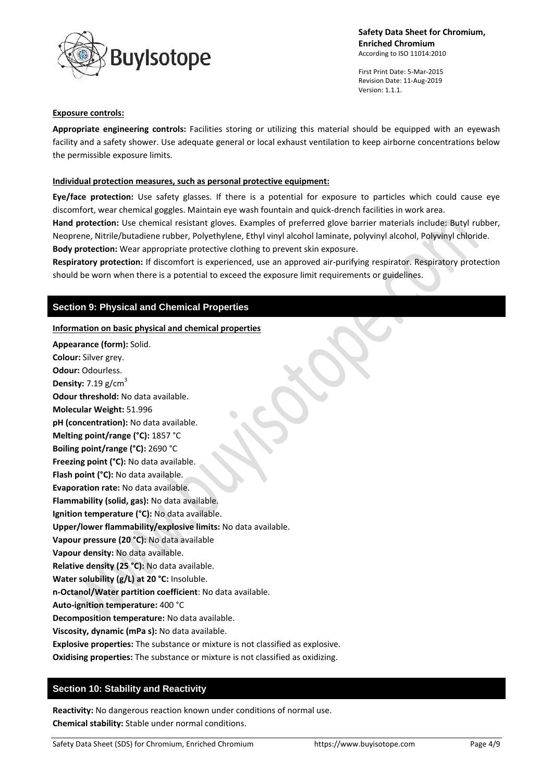

First Print Date: 5-Mar-2015 Revision Date: 11-Aug-2019 Version: 1.1.1.

#### **Exposure controls:**

**Appropriate engineering controls:** Facilities storing or utilizing this material should be equipped with an eyewash facility and a safety shower. Use adequate general or local exhaust ventilation to keep airborne concentrations below the permissible exposure limits.

## **Individual protection measures, such as personal protective equipment:**

**Eye/face protection:** Use safety glasses. If there is a potential for exposure to particles which could cause eye discomfort, wear chemical goggles. Maintain eye wash fountain and quick-drench facilities in work area.

**Hand protection:** Use chemical resistant gloves. Examples of preferred glove barrier materials include: Butyl rubber, Neoprene, Nitrile/butadiene rubber, Polyethylene, Ethyl vinyl alcohol laminate, polyvinyl alcohol, Polyvinyl chloride. **Body protection:** Wear appropriate protective clothing to prevent skin exposure.

**Respiratory protection:** If discomfort is experienced, use an approved air-purifying respirator. Respiratory protection should be worn when there is a potential to exceed the exposure limit requirements or guidelines.

## **Section 9: Physical and Chemical Properties**

#### **Information on basic physical and chemical properties**

**Appearance (form):** Solid. **Colour:** Silver grey. **Odour:** Odourless. **Density:**  $7.19$  g/cm<sup>3</sup> **Odour threshold:** No data available. **Molecular Weight:** 51.996 **pH (concentration):** No data available. **Melting point/range (°C):** 1857 °C **Boiling point/range (°C):** 2690 °C **Freezing point (°C):** No data available. **Flash point (°C):** No data available. **Evaporation rate:** No data available. **Flammability (solid, gas):** No data available. **Ignition temperature (°C):** No data available. **Upper/lower flammability/explosive limits:** No data available. **Vapour pressure (20 °C):** No data available **Vapour density:** No data available. **Relative density (25 °C):** No data available. **Water solubility (g/L) at 20 °C:** Insoluble. **n-Octanol/Water partition coefficient**: No data available. **Auto-ignition temperature:** 400 °C **Decomposition temperature:** No data available. **Viscosity, dynamic (mPa s):** No data available. **Explosive properties:** The substance or mixture is not classified as explosive. **Oxidising properties:** The substance or mixture is not classified as oxidizing.

## **Section 10: Stability and Reactivity**

**Reactivity:** No dangerous reaction known under conditions of normal use. **Chemical stability:** Stable under normal conditions.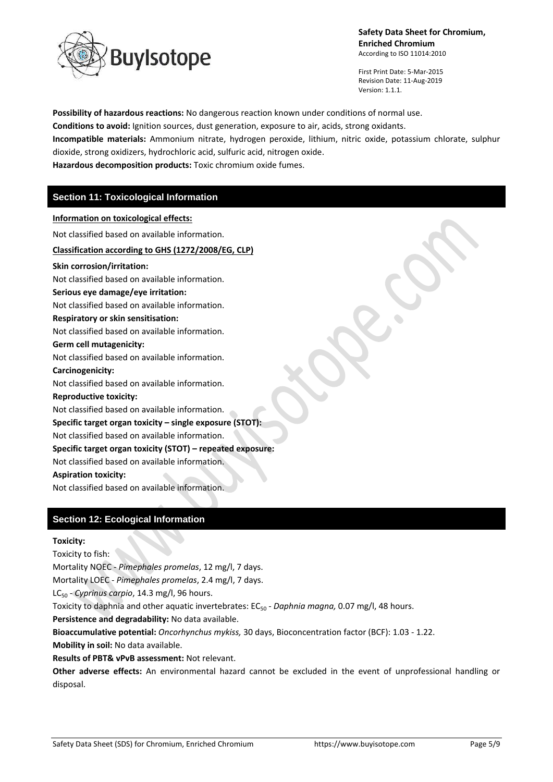

First Print Date: 5-Mar-2015 Revision Date: 11-Aug-2019 Version: 1.1.1.

**Possibility of hazardous reactions:** No dangerous reaction known under conditions of normal use. **Conditions to avoid:** Ignition sources, dust generation, exposure to air, acids, strong oxidants. **Incompatible materials:** Ammonium nitrate, hydrogen peroxide, lithium, nitric oxide, potassium chlorate, sulphur dioxide, strong oxidizers, hydrochloric acid, sulfuric acid, nitrogen oxide. **Hazardous decomposition products:** Toxic chromium oxide fumes.

# **Section 11: Toxicological Information**

#### **Information on toxicological effects:**

Not classified based on available information.

## **Classification according to GHS (1272/2008/EG, CLP)**

**Skin corrosion/irritation:** Not classified based on available information. **Serious eye damage/eye irritation:** Not classified based on available information. **Respiratory or skin sensitisation:** Not classified based on available information. **Germ cell mutagenicity:** Not classified based on available information. **Carcinogenicity:** Not classified based on available information. **Reproductive toxicity:** Not classified based on available information.

# **Specific target organ toxicity – single exposure (STOT):**

Not classified based on available information.

## **Specific target organ toxicity (STOT) – repeated exposure:**

Not classified based on available information.

## **Aspiration toxicity:**

Not classified based on available information.

# **Section 12: Ecological Information**

## **Toxicity:**

Toxicity to fish:

Mortality NOEC - *Pimephales promelas*, 12 mg/l, 7 days. Mortality LOEC - *Pimephales promelas*, 2.4 mg/l, 7 days.

LC<sub>50</sub> - *Cyprinus carpio*, 14.3 mg/l, 96 hours.

Toxicity to daphnia and other aquatic invertebrates:  $EC_{50}$  - *Daphnia magna*, 0.07 mg/l, 48 hours.

**Persistence and degradability:** No data available.

**Bioaccumulative potential:** *Oncorhynchus mykiss,* 30 days, Bioconcentration factor (BCF): 1.03 - 1.22.

**Mobility in soil:** No data available.

**Results of PBT& vPvB assessment:** Not relevant.

**Other adverse effects:** An environmental hazard cannot be excluded in the event of unprofessional handling or disposal.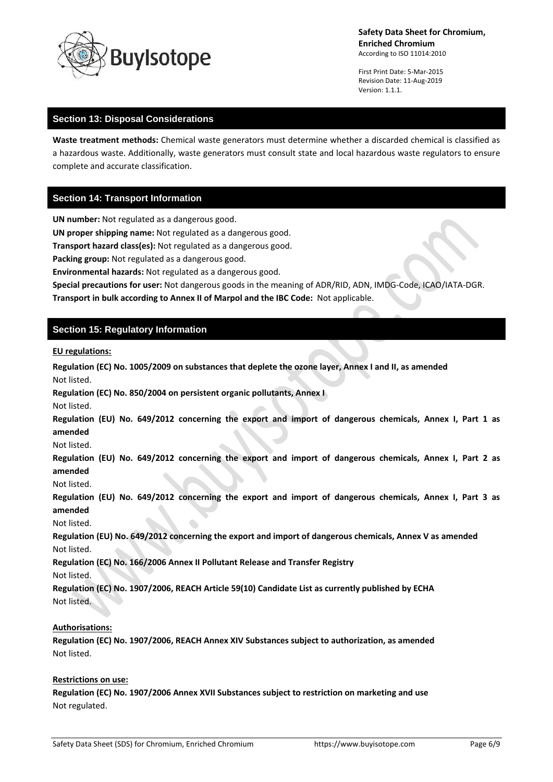

First Print Date: 5-Mar-2015 Revision Date: 11-Aug-2019 Version: 1.1.1.

# **Section 13: Disposal Considerations**

**Waste treatment methods:** Chemical waste generators must determine whether a discarded chemical is classified as a hazardous waste. Additionally, waste generators must consult state and local hazardous waste regulators to ensure complete and accurate classification.

# **Section 14: Transport Information**

**UN number:** Not regulated as a dangerous good.

**UN proper shipping name:** Not regulated as a dangerous good.

**Transport hazard class(es):** Not regulated as a dangerous good.

**Packing group:** Not regulated as a dangerous good.

**Environmental hazards:** Not regulated as a dangerous good.

**Special precautions for user:** Not dangerous goods in the meaning of ADR/RID, ADN, IMDG-Code, ICAO/IATA-DGR. **Transport in bulk according to Annex II of Marpol and the IBC Code:** Not applicable.

# **Section 15: Regulatory Information**

#### **EU regulations:**

**Regulation (EC) No. 1005/2009 on substances that deplete the ozone layer, Annex I and II, as amended** Not listed.

**Regulation (EC) No. 850/2004 on persistent organic pollutants, Annex I**

Not listed.

**Regulation (EU) No. 649/2012 concerning the export and import of dangerous chemicals, Annex I, Part 1 as amended**

Not listed.

**Regulation (EU) No. 649/2012 concerning the export and import of dangerous chemicals, Annex I, Part 2 as amended**

Not listed.

**Regulation (EU) No. 649/2012 concerning the export and import of dangerous chemicals, Annex I, Part 3 as amended**

Not listed.

**Regulation (EU) No. 649/2012 concerning the export and import of dangerous chemicals, Annex V as amended** Not listed.

**Regulation (EC) No. 166/2006 Annex II Pollutant Release and Transfer Registry**

Not listed.

**Regulation (EC) No. 1907/2006, REACH Article 59(10) Candidate List as currently published by ECHA** Not listed.

## **Authorisations:**

**Regulation (EC) No. 1907/2006, REACH Annex XIV Substances subject to authorization, as amended** Not listed.

#### **Restrictions on use:**

**Regulation (EC) No. 1907/2006 Annex XVII Substances subject to restriction on marketing and use** Not regulated.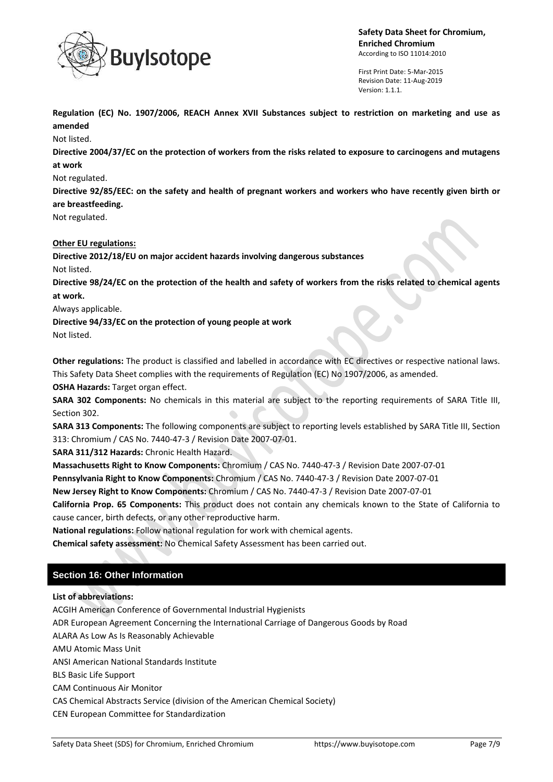

First Print Date: 5-Mar-2015 Revision Date: 11-Aug-2019 Version: 1.1.1.

**Regulation (EC) No. 1907/2006, REACH Annex XVII Substances subject to restriction on marketing and use as amended**

Not listed.

**Directive 2004/37/EC on the protection of workers from the risks related to exposure to carcinogens and mutagens at work**

# Not regulated.

**Directive 92/85/EEC: on the safety and health of pregnant workers and workers who have recently given birth or are breastfeeding.**

Not regulated.

# **Other EU regulations:**

**Directive 2012/18/EU on major accident hazards involving dangerous substances**

Not listed.

**Directive 98/24/EC on the protection of the health and safety of workers from the risks related to chemical agents at work.**

Always applicable.

**Directive 94/33/EC on the protection of young people at work**

Not listed.

**Other regulations:** The product is classified and labelled in accordance with EC directives or respective national laws. This Safety Data Sheet complies with the requirements of Regulation (EC) No 1907/2006, as amended.

**OSHA Hazards:** Target organ effect.

**SARA 302 Components:** No chemicals in this material are subject to the reporting requirements of SARA Title III, Section 302.

**SARA 313 Components:** The following components are subject to reporting levels established by SARA Title III, Section 313: Chromium / CAS No. 7440-47-3 / Revision Date 2007-07-01.

**SARA 311/312 Hazards:** Chronic Health Hazard.

**Massachusetts Right to Know Components:** Chromium / CAS No. 7440-47-3 / Revision Date 2007-07-01

**Pennsylvania Right to Know Components:** Chromium / CAS No. 7440-47-3 / Revision Date 2007-07-01

**New Jersey Right to Know Components:** Chromium / CAS No. 7440-47-3 / Revision Date 2007-07-01

**California Prop. 65 Components:** This product does not contain any chemicals known to the State of California to cause cancer, birth defects, or any other reproductive harm.

**National regulations:** Follow national regulation for work with chemical agents.

**Chemical safety assessment:** No Chemical Safety Assessment has been carried out.

# **Section 16: Other Information**

**List of abbreviations:**

ACGIH American Conference of Governmental Industrial Hygienists

ADR European Agreement Concerning the International Carriage of Dangerous Goods by Road

ALARA As Low As Is Reasonably Achievable

AMU Atomic Mass Unit

ANSI American National Standards Institute

BLS Basic Life Support

CAM Continuous Air Monitor

CAS Chemical Abstracts Service (division of the American Chemical Society)

CEN European Committee for Standardization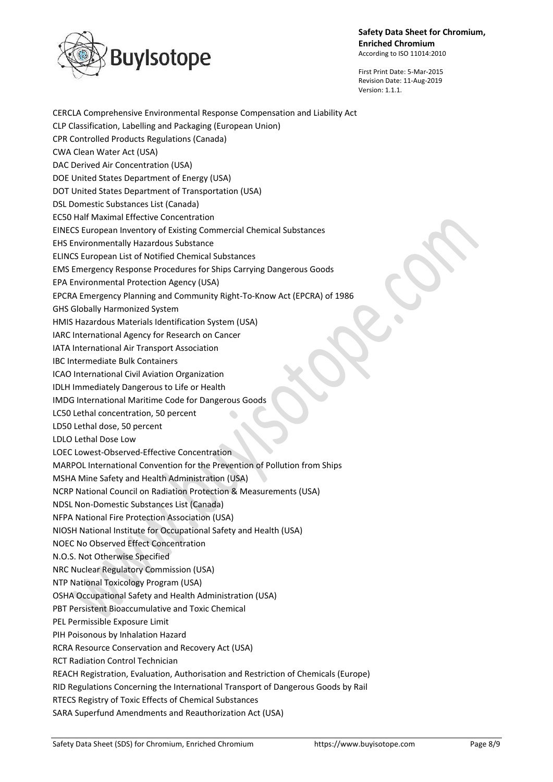

First Print Date: 5-Mar-2015 Revision Date: 11-Aug-2019 Version: 1.1.1.

CERCLA Comprehensive Environmental Response Compensation and Liability Act CLP Classification, Labelling and Packaging (European Union) CPR Controlled Products Regulations (Canada) CWA Clean Water Act (USA) DAC Derived Air Concentration (USA) DOE United States Department of Energy (USA) DOT United States Department of Transportation (USA) DSL Domestic Substances List (Canada) EC50 Half Maximal Effective Concentration EINECS European Inventory of Existing Commercial Chemical Substances EHS Environmentally Hazardous Substance ELINCS European List of Notified Chemical Substances EMS Emergency Response Procedures for Ships Carrying Dangerous Goods EPA Environmental Protection Agency (USA) EPCRA Emergency Planning and Community Right-To-Know Act (EPCRA) of 1986 GHS Globally Harmonized System HMIS Hazardous Materials Identification System (USA) IARC International Agency for Research on Cancer IATA International Air Transport Association IBC Intermediate Bulk Containers ICAO International Civil Aviation Organization IDLH Immediately Dangerous to Life or Health IMDG International Maritime Code for Dangerous Goods LC50 Lethal concentration, 50 percent LD50 Lethal dose, 50 percent LDLO Lethal Dose Low LOEC Lowest-Observed-Effective Concentration MARPOL International Convention for the Prevention of Pollution from Ships MSHA Mine Safety and Health Administration (USA) NCRP National Council on Radiation Protection & Measurements (USA) NDSL Non-Domestic Substances List (Canada) NFPA National Fire Protection Association (USA) NIOSH National Institute for Occupational Safety and Health (USA) NOEC No Observed Effect Concentration N.O.S. Not Otherwise Specified NRC Nuclear Regulatory Commission (USA) NTP National Toxicology Program (USA) OSHA Occupational Safety and Health Administration (USA) PBT Persistent Bioaccumulative and Toxic Chemical PEL Permissible Exposure Limit PIH Poisonous by Inhalation Hazard RCRA Resource Conservation and Recovery Act (USA) RCT Radiation Control Technician REACH Registration, Evaluation, Authorisation and Restriction of Chemicals (Europe) RID Regulations Concerning the International Transport of Dangerous Goods by Rail RTECS Registry of Toxic Effects of Chemical Substances SARA Superfund Amendments and Reauthorization Act (USA)